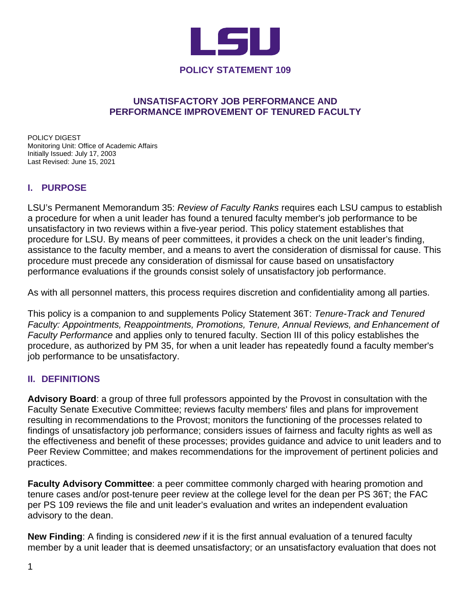

### **UNSATISFACTORY JOB PERFORMANCE AND PERFORMANCE IMPROVEMENT OF TENURED FACULTY**

POLICY DIGEST Monitoring Unit: Office of Academic Affairs Initially Issued: July 17, 2003 Last Revised: June 15, 2021

#### **I. PURPOSE**

LSU's Permanent Memorandum 35: *Review of Faculty Ranks* requires each LSU campus to establish a procedure for when a unit leader has found a tenured faculty member's job performance to be unsatisfactory in two reviews within a five-year period. This policy statement establishes that procedure for LSU. By means of peer committees, it provides a check on the unit leader's finding, assistance to the faculty member, and a means to avert the consideration of dismissal for cause. This procedure must precede any consideration of dismissal for cause based on unsatisfactory performance evaluations if the grounds consist solely of unsatisfactory job performance.

As with all personnel matters, this process requires discretion and confidentiality among all parties.

This policy is a companion to and supplements Policy Statement 36T: *Tenure-Track and Tenured Faculty: Appointments, Reappointments, Promotions, Tenure, Annual Reviews, and Enhancement of Faculty Performance* and applies only to tenured faculty. Section III of this policy establishes the procedure, as authorized by PM 35, for when a unit leader has repeatedly found a faculty member's job performance to be unsatisfactory.

#### **II. DEFINITIONS**

**Advisory Board**: a group of three full professors appointed by the Provost in consultation with the Faculty Senate Executive Committee; reviews faculty members' files and plans for improvement resulting in recommendations to the Provost; monitors the functioning of the processes related to findings of unsatisfactory job performance; considers issues of fairness and faculty rights as well as the effectiveness and benefit of these processes; provides guidance and advice to unit leaders and to Peer Review Committee; and makes recommendations for the improvement of pertinent policies and practices.

**Faculty Advisory Committee**: a peer committee commonly charged with hearing promotion and tenure cases and/or post-tenure peer review at the college level for the dean per PS 36T; the FAC per PS 109 reviews the file and unit leader's evaluation and writes an independent evaluation advisory to the dean.

**New Finding**: A finding is considered *new* if it is the first annual evaluation of a tenured faculty member by a unit leader that is deemed unsatisfactory; or an unsatisfactory evaluation that does not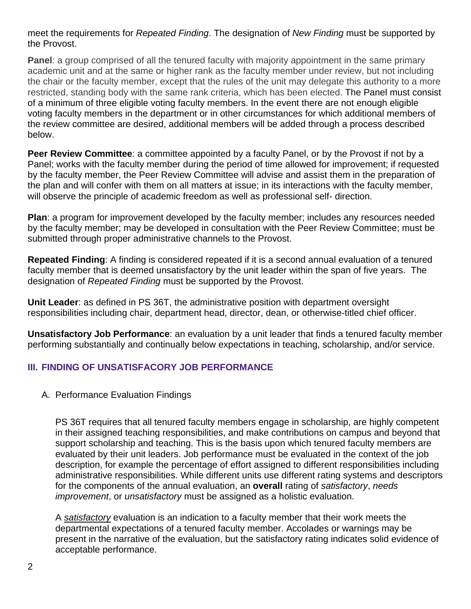meet the requirements for *Repeated Finding*. The designation of *New Finding* must be supported by the Provost.

**Panel**: a group comprised of all the tenured faculty with majority appointment in the same primary academic unit and at the same or higher rank as the faculty member under review, but not including the chair or the faculty member, except that the rules of the unit may delegate this authority to a more restricted, standing body with the same rank criteria, which has been elected. The Panel must consist of a minimum of three eligible voting faculty members. In the event there are not enough eligible voting faculty members in the department or in other circumstances for which additional members of the review committee are desired, additional members will be added through a process described below.

**Peer Review Committee**: a committee appointed by a faculty Panel, or by the Provost if not by a Panel; works with the faculty member during the period of time allowed for improvement; if requested by the faculty member, the Peer Review Committee will advise and assist them in the preparation of the plan and will confer with them on all matters at issue; in its interactions with the faculty member, will observe the principle of academic freedom as well as professional self- direction.

**Plan**: a program for improvement developed by the faculty member; includes any resources needed by the faculty member; may be developed in consultation with the Peer Review Committee; must be submitted through proper administrative channels to the Provost.

**Repeated Finding**: A finding is considered repeated if it is a second annual evaluation of a tenured faculty member that is deemed unsatisfactory by the unit leader within the span of five years. The designation of *Repeated Finding* must be supported by the Provost.

**Unit Leader**: as defined in PS 36T, the administrative position with department oversight responsibilities including chair, department head, director, dean, or otherwise-titled chief officer.

**Unsatisfactory Job Performance**: an evaluation by a unit leader that finds a tenured faculty member performing substantially and continually below expectations in teaching, scholarship, and/or service.

# **III. FINDING OF UNSATISFACORY JOB PERFORMANCE**

A. Performance Evaluation Findings

PS 36T requires that all tenured faculty members engage in scholarship, are highly competent in their assigned teaching responsibilities, and make contributions on campus and beyond that support scholarship and teaching. This is the basis upon which tenured faculty members are evaluated by their unit leaders. Job performance must be evaluated in the context of the job description, for example the percentage of effort assigned to different responsibilities including administrative responsibilities. While different units use different rating systems and descriptors for the components of the annual evaluation, an **overall** rating of *satisfactory*, *needs improvement*, or *unsatisfactory* must be assigned as a holistic evaluation.

A *satisfactory* evaluation is an indication to a faculty member that their work meets the departmental expectations of a tenured faculty member. Accolades or warnings may be present in the narrative of the evaluation, but the satisfactory rating indicates solid evidence of acceptable performance.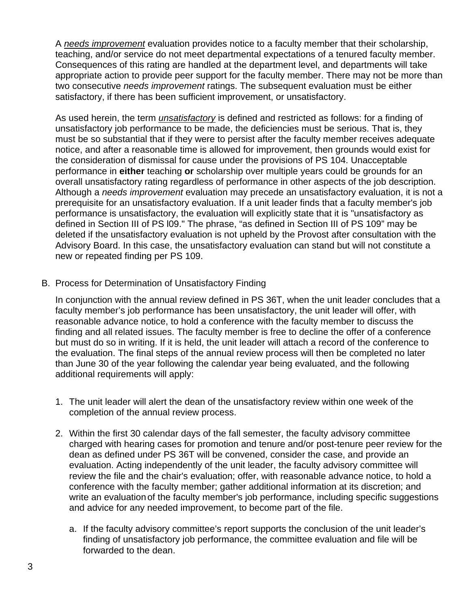A *needs improvement* evaluation provides notice to a faculty member that their scholarship, teaching, and/or service do not meet departmental expectations of a tenured faculty member. Consequences of this rating are handled at the department level, and departments will take appropriate action to provide peer support for the faculty member. There may not be more than two consecutive *needs improvement* ratings. The subsequent evaluation must be either satisfactory, if there has been sufficient improvement, or unsatisfactory.

As used herein, the term *unsatisfactory* is defined and restricted as follows: for a finding of unsatisfactory job performance to be made, the deficiencies must be serious. That is, they must be so substantial that if they were to persist after the faculty member receives adequate notice, and after a reasonable time is allowed for improvement, then grounds would exist for the consideration of dismissal for cause under the provisions of PS 104. Unacceptable performance in **either** teaching **or** scholarship over multiple years could be grounds for an overall unsatisfactory rating regardless of performance in other aspects of the job description. Although a *needs improvement* evaluation may precede an unsatisfactory evaluation, it is not a prerequisite for an unsatisfactory evaluation. If a unit leader finds that a faculty member's job performance is unsatisfactory, the evaluation will explicitly state that it is "unsatisfactory as defined in Section III of PS l09." The phrase, "as defined in Section III of PS 109" may be deleted if the unsatisfactory evaluation is not upheld by the Provost after consultation with the Advisory Board. In this case, the unsatisfactory evaluation can stand but will not constitute a new or repeated finding per PS 109.

B. Process for Determination of Unsatisfactory Finding

In conjunction with the annual review defined in PS 36T, when the unit leader concludes that a faculty member's job performance has been unsatisfactory, the unit leader will offer, with reasonable advance notice, to hold a conference with the faculty member to discuss the finding and all related issues. The faculty member is free to decline the offer of a conference but must do so in writing. If it is held, the unit leader will attach a record of the conference to the evaluation. The final steps of the annual review process will then be completed no later than June 30 of the year following the calendar year being evaluated, and the following additional requirements will apply:

- 1. The unit leader will alert the dean of the unsatisfactory review within one week of the completion of the annual review process.
- 2. Within the first 30 calendar days of the fall semester, the faculty advisory committee charged with hearing cases for promotion and tenure and/or post-tenure peer review for the dean as defined under PS 36T will be convened, consider the case, and provide an evaluation. Acting independently of the unit leader, the faculty advisory committee will review the file and the chair's evaluation; offer, with reasonable advance notice, to hold a conference with the faculty member; gather additional information at its discretion; and write an evaluation of the faculty member's job performance, including specific suggestions and advice for any needed improvement, to become part of the file.
	- a. If the faculty advisory committee's report supports the conclusion of the unit leader's finding of unsatisfactory job performance, the committee evaluation and file will be forwarded to the dean.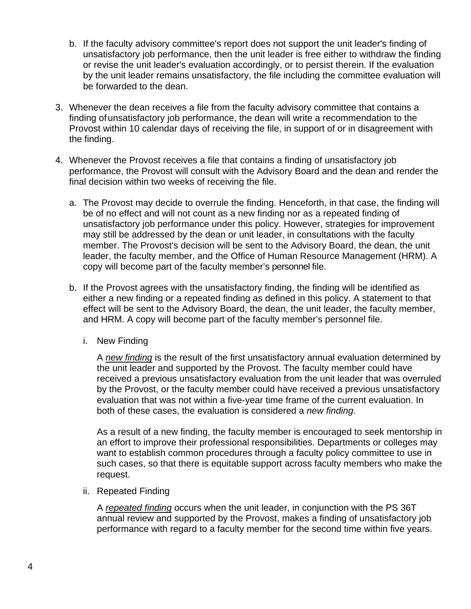- b. If the faculty advisory committee's report does not support the unit leader's finding of unsatisfactory job performance, then the unit leader is free either to withdraw the finding or revise the unit leader's evaluation accordingly, or to persist therein. If the evaluation by the unit leader remains unsatisfactory, the file including the committee evaluation will be forwarded to the dean.
- 3. Whenever the dean receives a file from the faculty advisory committee that contains a finding of unsatisfactory job performance, the dean will write a recommendation to the Provost within 10 calendar days of receiving the file, in support of or in disagreement with the finding.
- 4. Whenever the Provost receives a file that contains a finding of unsatisfactory job performance, the Provost will consult with the Advisory Board and the dean and render the final decision within two weeks of receiving the file.
	- a. The Provost may decide to overrule the finding. Henceforth, in that case, the finding will be of no effect and will not count as a new finding nor as a repeated finding of unsatisfactory job performance under this policy. However, strategies for improvement may still be addressed by the dean or unit leader, in consultations with the faculty member. The Provost's decision will be sent to the Advisory Board, the dean, the unit leader, the faculty member, and the Office of Human Resource Management (HRM). A copy will become part of the faculty member's personnel file.
	- b. If the Provost agrees with the unsatisfactory finding, the finding will be identified as either a new finding or a repeated finding as defined in this policy. A statement to that effect will be sent to the Advisory Board, the dean, the unit leader, the faculty member, and HRM. A copy will become part of the faculty member's personnel file.
		- i. New Finding

A *new finding* is the result of the first unsatisfactory annual evaluation determined by the unit leader and supported by the Provost. The faculty member could have received a previous unsatisfactory evaluation from the unit leader that was overruled by the Provost, or the faculty member could have received a previous unsatisfactory evaluation that was not within a five-year time frame of the current evaluation. In both of these cases, the evaluation is considered a *new finding*.

As a result of a new finding, the faculty member is encouraged to seek mentorship in an effort to improve their professional responsibilities. Departments or colleges may want to establish common procedures through a faculty policy committee to use in such cases, so that there is equitable support across faculty members who make the request.

ii. Repeated Finding

A *repeated finding* occurs when the unit leader, in conjunction with the PS 36T annual review and supported by the Provost, makes a finding of unsatisfactory job performance with regard to a faculty member for the second time within five years.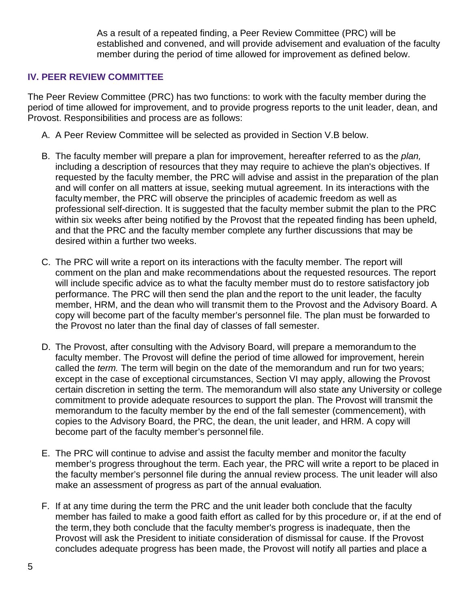As a result of a repeated finding, a Peer Review Committee (PRC) will be established and convened, and will provide advisement and evaluation of the faculty member during the period of time allowed for improvement as defined below.

# **IV. PEER REVIEW COMMITTEE**

The Peer Review Committee (PRC) has two functions: to work with the faculty member during the period of time allowed for improvement, and to provide progress reports to the unit leader, dean, and Provost. Responsibilities and process are as follows:

- A. A Peer Review Committee will be selected as provided in Section V.B below.
- B. The faculty member will prepare a plan for improvement, hereafter referred to as the *plan,*  including a description of resources that they may require to achieve the plan's objectives. If requested by the faculty member, the PRC will advise and assist in the preparation of the plan and will confer on all matters at issue, seeking mutual agreement. In its interactions with the faculty member, the PRC will observe the principles of academic freedom as well as professional self-direction. It is suggested that the faculty member submit the plan to the PRC within six weeks after being notified by the Provost that the repeated finding has been upheld, and that the PRC and the faculty member complete any further discussions that may be desired within a further two weeks.
- C. The PRC will write a report on its interactions with the faculty member. The report will comment on the plan and make recommendations about the requested resources. The report will include specific advice as to what the faculty member must do to restore satisfactory job performance. The PRC will then send the plan and the report to the unit leader, the faculty member, HRM, and the dean who will transmit them to the Provost and the Advisory Board. A copy will become part of the faculty member's personnel file. The plan must be forwarded to the Provost no later than the final day of classes of fall semester.
- D. The Provost, after consulting with the Advisory Board, will prepare a memorandum to the faculty member. The Provost will define the period of time allowed for improvement, herein called the *term.* The term will begin on the date of the memorandum and run for two years; except in the case of exceptional circumstances, Section VI may apply, allowing the Provost certain discretion in setting the term. The memorandum will also state any University or college commitment to provide adequate resources to support the plan. The Provost will transmit the memorandum to the faculty member by the end of the fall semester (commencement), with copies to the Advisory Board, the PRC, the dean, the unit leader, and HRM. A copy will become part of the faculty member's personnel file.
- E. The PRC will continue to advise and assist the faculty member and monitorthe faculty member's progress throughout the term. Each year, the PRC will write a report to be placed in the faculty member's personnel file during the annual review process. The unit leader will also make an assessment of progress as part of the annual evaluation.
- F. If at any time during the term the PRC and the unit leader both conclude that the faculty member has failed to make a good faith effort as called for by this procedure or, if at the end of the term,they both conclude that the faculty member's progress is inadequate, then the Provost will ask the President to initiate consideration of dismissal for cause. If the Provost concludes adequate progress has been made, the Provost will notify all parties and place a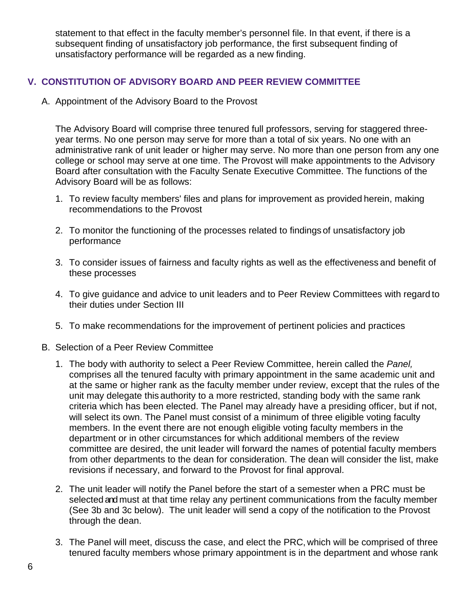statement to that effect in the faculty member's personnel file. In that event, if there is a subsequent finding of unsatisfactory job performance, the first subsequent finding of unsatisfactory performance will be regarded as a new finding.

# **V. CONSTITUTION OF ADVISORY BOARD AND PEER REVIEW COMMITTEE**

A. Appointment of the Advisory Board to the Provost

The Advisory Board will comprise three tenured full professors, serving for staggered threeyear terms. No one person may serve for more than a total of six years. No one with an administrative rank of unit leader or higher may serve. No more than one person from any one college or school may serve at one time. The Provost will make appointments to the Advisory Board after consultation with the Faculty Senate Executive Committee. The functions of the Advisory Board will be as follows:

- 1. To review faculty members' files and plans for improvement as provided herein, making recommendations to the Provost
- 2. To monitor the functioning of the processes related to findings of unsatisfactory job performance
- 3. To consider issues of fairness and faculty rights as well as the effectiveness and benefit of these processes
- 4. To give guidance and advice to unit leaders and to Peer Review Committees with regard to their duties under Section III
- 5. To make recommendations for the improvement of pertinent policies and practices
- B. Selection of a Peer Review Committee
	- 1. The body with authority to select a Peer Review Committee, herein called the *Panel,*  comprises all the tenured faculty with primary appointment in the same academic unit and at the same or higher rank as the faculty member under review, except that the rules of the unit may delegate this authority to a more restricted, standing body with the same rank criteria which has been elected. The Panel may already have a presiding officer, but if not, will select its own. The Panel must consist of a minimum of three eligible voting faculty members. In the event there are not enough eligible voting faculty members in the department or in other circumstances for which additional members of the review committee are desired, the unit leader will forward the names of potential faculty members from other departments to the dean for consideration. The dean will consider the list, make revisions if necessary, and forward to the Provost for final approval.
	- 2. The unit leader will notify the Panel before the start of a semester when a PRC must be selected and must at that time relay any pertinent communications from the faculty member (See 3b and 3c below). The unit leader will send a copy of the notification to the Provost through the dean.
	- 3. The Panel will meet, discuss the case, and elect the PRC, which will be comprised of three tenured faculty members whose primary appointment is in the department and whose rank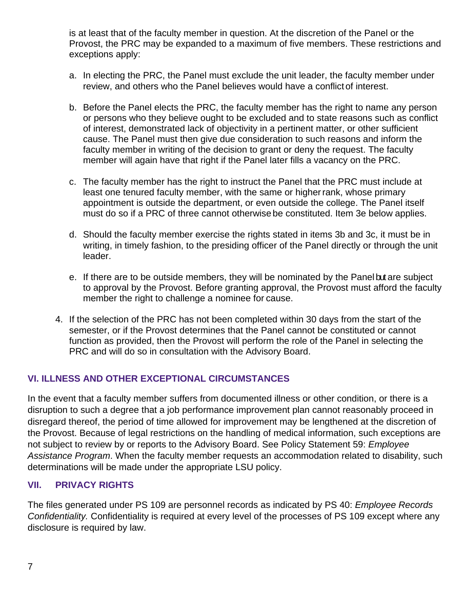is at least that of the faculty member in question. At the discretion of the Panel or the Provost, the PRC may be expanded to a maximum of five members. These restrictions and exceptions apply:

- a. In electing the PRC, the Panel must exclude the unit leader, the faculty member under review, and others who the Panel believes would have a conflict of interest.
- b. Before the Panel elects the PRC, the faculty member has the right to name any person or persons who they believe ought to be excluded and to state reasons such as conflict of interest, demonstrated lack of objectivity in a pertinent matter, or other sufficient cause. The Panel must then give due consideration to such reasons and inform the faculty member in writing of the decision to grant or deny the request. The faculty member will again have that right if the Panel later fills a vacancy on the PRC.
- c. The faculty member has the right to instruct the Panel that the PRC must include at least one tenured faculty member, with the same or higherrank, whose primary appointment is outside the department, or even outside the college. The Panel itself must do so if a PRC of three cannot otherwise be constituted. Item 3e below applies.
- d. Should the faculty member exercise the rights stated in items 3b and 3c, it must be in writing, in timely fashion, to the presiding officer of the Panel directly or through the unit leader.
- e. If there are to be outside members, they will be nominated by the Panel but are subject to approval by the Provost. Before granting approval, the Provost must afford the faculty member the right to challenge a nominee for cause.
- 4. If the selection of the PRC has not been completed within 30 days from the start of the semester, or if the Provost determines that the Panel cannot be constituted or cannot function as provided, then the Provost will perform the role of the Panel in selecting the PRC and will do so in consultation with the Advisory Board.

# **VI. ILLNESS AND OTHER EXCEPTIONAL CIRCUMSTANCES**

In the event that a faculty member suffers from documented illness or other condition, or there is a disruption to such a degree that a job performance improvement plan cannot reasonably proceed in disregard thereof, the period of time allowed for improvement may be lengthened at the discretion of the Provost. Because of legal restrictions on the handling of medical information, such exceptions are not subject to review by or reports to the Advisory Board. See Policy Statement 59: *Employee Assistance Program*. When the faculty member requests an accommodation related to disability, such determinations will be made under the appropriate LSU policy.

## **VII. PRIVACY RIGHTS**

The files generated under PS 109 are personnel records as indicated by PS 40: *Employee Records Confidentiality.* Confidentiality is required at every level of the processes of PS 109 except where any disclosure is required by law.